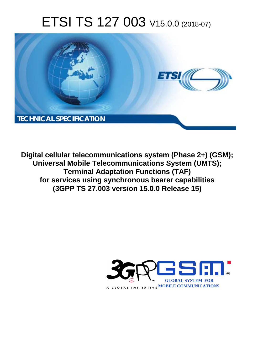# ETSI TS 127 003 V15.0.0 (2018-07)



**Digital cellular telecommunications system (Phase 2+) (GSM); Universal Mobile Telecommunications System (UMTS); Terminal Adaptation Functions (TAF) for services using synchronous bearer capabilities (3GPP TS 27.003 version 15.0.0 Release 15)** 

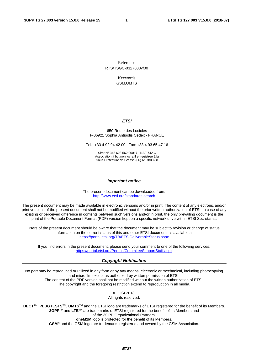Reference RTS/TSGC-0327003vf00

> Keywords GSM,UMTS

#### *ETSI*

#### 650 Route des Lucioles F-06921 Sophia Antipolis Cedex - FRANCE

Tel.: +33 4 92 94 42 00 Fax: +33 4 93 65 47 16

Siret N° 348 623 562 00017 - NAF 742 C Association à but non lucratif enregistrée à la Sous-Préfecture de Grasse (06) N° 7803/88

#### *Important notice*

The present document can be downloaded from: <http://www.etsi.org/standards-search>

The present document may be made available in electronic versions and/or in print. The content of any electronic and/or print versions of the present document shall not be modified without the prior written authorization of ETSI. In case of any existing or perceived difference in contents between such versions and/or in print, the only prevailing document is the print of the Portable Document Format (PDF) version kept on a specific network drive within ETSI Secretariat.

Users of the present document should be aware that the document may be subject to revision or change of status. Information on the current status of this and other ETSI documents is available at <https://portal.etsi.org/TB/ETSIDeliverableStatus.aspx>

If you find errors in the present document, please send your comment to one of the following services: <https://portal.etsi.org/People/CommiteeSupportStaff.aspx>

#### *Copyright Notification*

No part may be reproduced or utilized in any form or by any means, electronic or mechanical, including photocopying and microfilm except as authorized by written permission of ETSI. The content of the PDF version shall not be modified without the written authorization of ETSI. The copyright and the foregoing restriction extend to reproduction in all media.

> © ETSI 2018. All rights reserved.

**DECT**TM, **PLUGTESTS**TM, **UMTS**TM and the ETSI logo are trademarks of ETSI registered for the benefit of its Members. **3GPP**TM and **LTE**TM are trademarks of ETSI registered for the benefit of its Members and of the 3GPP Organizational Partners. **oneM2M** logo is protected for the benefit of its Members.

**GSM**® and the GSM logo are trademarks registered and owned by the GSM Association.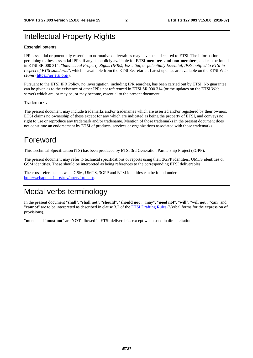### Intellectual Property Rights

#### Essential patents

IPRs essential or potentially essential to normative deliverables may have been declared to ETSI. The information pertaining to these essential IPRs, if any, is publicly available for **ETSI members and non-members**, and can be found in ETSI SR 000 314: *"Intellectual Property Rights (IPRs); Essential, or potentially Essential, IPRs notified to ETSI in respect of ETSI standards"*, which is available from the ETSI Secretariat. Latest updates are available on the ETSI Web server ([https://ipr.etsi.org/\)](https://ipr.etsi.org/).

Pursuant to the ETSI IPR Policy, no investigation, including IPR searches, has been carried out by ETSI. No guarantee can be given as to the existence of other IPRs not referenced in ETSI SR 000 314 (or the updates on the ETSI Web server) which are, or may be, or may become, essential to the present document.

#### **Trademarks**

The present document may include trademarks and/or tradenames which are asserted and/or registered by their owners. ETSI claims no ownership of these except for any which are indicated as being the property of ETSI, and conveys no right to use or reproduce any trademark and/or tradename. Mention of those trademarks in the present document does not constitute an endorsement by ETSI of products, services or organizations associated with those trademarks.

### Foreword

This Technical Specification (TS) has been produced by ETSI 3rd Generation Partnership Project (3GPP).

The present document may refer to technical specifications or reports using their 3GPP identities, UMTS identities or GSM identities. These should be interpreted as being references to the corresponding ETSI deliverables.

The cross reference between GSM, UMTS, 3GPP and ETSI identities can be found under [http://webapp.etsi.org/key/queryform.asp.](http://webapp.etsi.org/key/queryform.asp)

### Modal verbs terminology

In the present document "**shall**", "**shall not**", "**should**", "**should not**", "**may**", "**need not**", "**will**", "**will not**", "**can**" and "**cannot**" are to be interpreted as described in clause 3.2 of the [ETSI Drafting Rules](https://portal.etsi.org/Services/editHelp!/Howtostart/ETSIDraftingRules.aspx) (Verbal forms for the expression of provisions).

"**must**" and "**must not**" are **NOT** allowed in ETSI deliverables except when used in direct citation.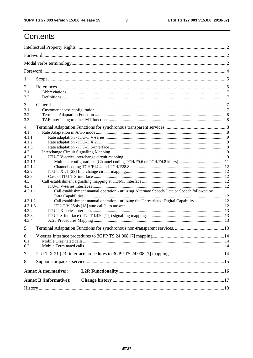### Contents

| 1       |                                                                                             |  |  |  |  |  |  |
|---------|---------------------------------------------------------------------------------------------|--|--|--|--|--|--|
| 2       |                                                                                             |  |  |  |  |  |  |
| 2.1     |                                                                                             |  |  |  |  |  |  |
| 2.2     |                                                                                             |  |  |  |  |  |  |
| 3       |                                                                                             |  |  |  |  |  |  |
| 3.1     |                                                                                             |  |  |  |  |  |  |
| 3.2     |                                                                                             |  |  |  |  |  |  |
| 3.3     |                                                                                             |  |  |  |  |  |  |
| 4       |                                                                                             |  |  |  |  |  |  |
| 4.1     |                                                                                             |  |  |  |  |  |  |
| 4.1.1   |                                                                                             |  |  |  |  |  |  |
| 4.1.2   |                                                                                             |  |  |  |  |  |  |
| 4.1.3   |                                                                                             |  |  |  |  |  |  |
| 4.2     |                                                                                             |  |  |  |  |  |  |
| 4.2.1   |                                                                                             |  |  |  |  |  |  |
| 4.2.1.1 |                                                                                             |  |  |  |  |  |  |
| 4.2.1.2 |                                                                                             |  |  |  |  |  |  |
| 4.2.2   |                                                                                             |  |  |  |  |  |  |
| 4.2.3   |                                                                                             |  |  |  |  |  |  |
| 4.3     |                                                                                             |  |  |  |  |  |  |
| 4.3.1   |                                                                                             |  |  |  |  |  |  |
| 4.3.1.1 | Call establishment manual operation - utilizing Alternate Speech/Data or Speech followed by |  |  |  |  |  |  |
| 4.3.1.2 | Call establishment manual operation - utilizing the Unrestricted Digital Capability 12      |  |  |  |  |  |  |
| 4.3.1.3 |                                                                                             |  |  |  |  |  |  |
| 4.3.2   |                                                                                             |  |  |  |  |  |  |
| 4.3.3   |                                                                                             |  |  |  |  |  |  |
| 4.3.4   |                                                                                             |  |  |  |  |  |  |
| 5       |                                                                                             |  |  |  |  |  |  |
|         |                                                                                             |  |  |  |  |  |  |
| 6       |                                                                                             |  |  |  |  |  |  |
| 6.1     |                                                                                             |  |  |  |  |  |  |
| 6.2     |                                                                                             |  |  |  |  |  |  |
| $\tau$  |                                                                                             |  |  |  |  |  |  |
| 8       |                                                                                             |  |  |  |  |  |  |
|         | <b>Annex A (normative):</b>                                                                 |  |  |  |  |  |  |
|         |                                                                                             |  |  |  |  |  |  |
|         | <b>Annex B</b> (informative):                                                               |  |  |  |  |  |  |
|         |                                                                                             |  |  |  |  |  |  |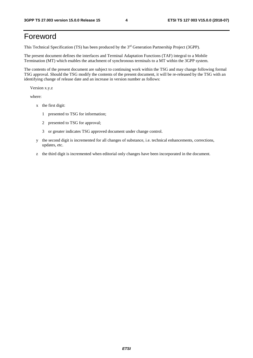### Foreword

This Technical Specification (TS) has been produced by the 3rd Generation Partnership Project (3GPP).

The present document defines the interfaces and Terminal Adaptation Functions (TAF) integral to a Mobile Termination (MT) which enables the attachment of synchronous terminals to a MT within the 3GPP system.

The contents of the present document are subject to continuing work within the TSG and may change following formal TSG approval. Should the TSG modify the contents of the present document, it will be re-released by the TSG with an identifying change of release date and an increase in version number as follows:

Version x.y.z

where:

- x the first digit:
	- 1 presented to TSG for information;
	- 2 presented to TSG for approval;
	- 3 or greater indicates TSG approved document under change control.
- y the second digit is incremented for all changes of substance, i.e. technical enhancements, corrections, updates, etc.
- z the third digit is incremented when editorial only changes have been incorporated in the document.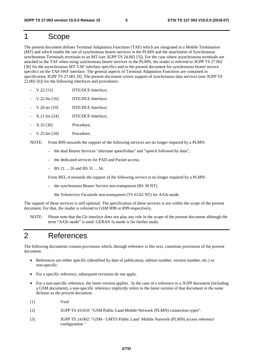### 1 Scope

The present document defines Terminal Adaptation Functions (TAF) which are integrated in a Mobile Termination (MT) and which enable the use of synchronous bearer services in the PLMN and the attachment of Synchronous synchronous Terminals terminals to an MT (see 3GPP TS 24.002 [3]). For the case where asynchronous terminals are attached to the TAF when using synchronous bearer services in the PLMN, the reader is referred to 3GPP TS 27.002 [36] for the asynchronous MT-TAF interface specifics and to the present document for synchronous bearer service specifics on the TAF-IWF interface. The general aspects of Terminal Adaptation Functions are contained in specification 3GPP TS 27.001 [9]. The present document covers support of synchronous data services (see 3GPP TS 22.002 [6]) for the following interfaces and procedures:

- V.22 [15] DTE/DCE Interface;
- V.22 bis [16] DTE/DCE Interface:
- V.26 ter [19] DTE/DCE Interface;
- X.21 bis [24] DTE/DCE Interface;
- X.32 [30] Procedure;
- V.25 bis [18] Procedure;

NOTE: From R99 onwards the support of the following services are no longer required by a PLMN:

- the dual Bearer Services "alternate speech/data" and "speech followed by data";
- the dedicated services for PAD and Packet access;
- BS 21 ... 26 and BS 31 ... 34.

From REL-4 onwards the support of the following service is no longer required by a PLMN:

- the synchronous Bearer Service non-transparent (BS 30 NT).

the Teleservice Facsimile non-transparent (TS 61/62 NT) for A/Gb mode.

The support of these services is still optional. The specification of these services is not within the scope of the present document. For that, the reader is referred to GSM R98 or R99 respectively.

NOTE: Please note that the Gb interface does not play any role in the scope of the present document although the term "A/Gb mode" is used. GERAN Iu mode is for further study.

### 2 References

The following documents contain provisions which, through reference in this text, constitute provisions of the present document.

- References are either specific (identified by date of publication, edition number, version number, etc.) or non-specific.
- For a specific reference, subsequent revisions do not apply.
- For a non-specific reference, the latest version applies. In the case of a reference to a 3GPP document (including a GSM document), a non-specific reference implicitly refers to the latest version of that document *in the same Release as the present document*.
- [1] Void
- [2] 3GPP TS 43.010: "GSM Public Land Mobile Network (PLMN) connection types".
- [3] 3GPP TS 24.002: "GSM UMTS Public Land Mobile Natwork (PLMN) access reference configuration "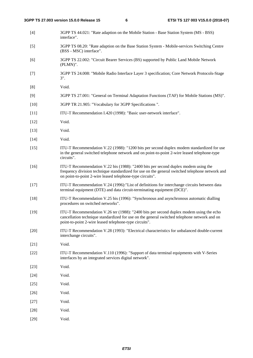[4] 3GPP TS 44.021: "Rate adaption on the Mobile Station - Base Station System (MS - BSS) interface". [5] 3GPP TS 08.20: "Rate adaption on the Base Station System - Mobile-services Switching Centre (BSS - MSC) interface". [6] 3GPP TS 22.002: "Circuit Bearer Services (BS) supported by Public Land Mobile Network (PLMN)". [7] 3GPP TS 24.008: "Mobile Radio Interface Layer 3 specification; Core Network Protocols-Stage 3". [8] Void. [9] 3GPP TS 27.001: "General on Terminal Adaptation Functions (TAF) for Mobile Stations (MS)". [10] 3GPP TR 21.905: "Vocabulary for 3GPP Specifications ". [11] ITU-T Recommendation I.420 (1998): "Basic user-network interface". [12] Void. [13] **Void.** [14] **Void.** [15] ITU-T Recommendation V.22 (1988): "1200 bits per second duplex modem standardized for use in the general switched telephone network and on point-to-point 2-wire leased telephone-type circuits". [16] ITU-T Recommendation V.22 bis (1988): "2400 bits per second duplex modem using the frequency division technique standardized for use on the general switched telephone network and on point-to-point 2-wire leased telephone-type circuits". [17] ITU-T Recommendation V.24 (1996):"List of definitions for interchange circuits between data terminal equipment (DTE) and data circuit-terminating equipment (DCE)". [18] ITU-T Recommendation V.25 bis (1996): "Synchronous and asynchronous automatic dialling procedures on switched networks". [19] ITU-T Recommendation V.26 ter (1988): "2400 bits per second duplex modem using the echo cancellation technique standardized for use on the general switched telephone network and on point-to-point 2-wire leased telephone-type circuits". [20] ITU-T Recommendation V.28 (1993): "Electrical characteristics for unbalanced double-current interchange circuits". [21] **Void.** [22] ITU-T Recommendation V.110 (1996): "Support of data terminal equipments with V-Series interfaces by an integrated services digital network". [23] Void. [24] **Void.** [25] **Void.** [26] Void. [27] Void. [28] Void. [29] **Void.**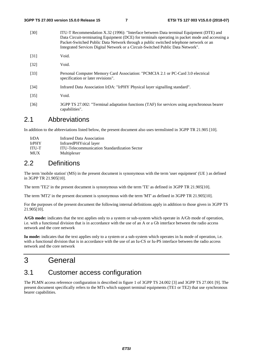[30] ITU-T Recommendation X.32 (1996): "Interface between Data terminal Equipment (DTE) and Data Circuit-terminating Equipment (DCE) for terminals operating in packet mode and accessing a Packet-Switched Public Data Network through a public switched telephone network or an Integrated Services Digital Network or a Circuit-Switched Public Data Network". [31] Void. [32] Void. [33] Personal Computer Memory Card Association: "PCMCIA 2.1 or PC-Card 3.0 electrical specification or later revisions". [34] Infrared Data Association IrDA: "IrPHY Physical layer signalling standard". [35] Void. [36] 3GPP TS 27.002: "Terminal adaptation functions (TAF) for services using asynchronous bearer

### 2.1 Abbreviations

capabilities".

In addition to the abbreviations listed below, the present document also uses termslisted in 3GPP TR 21.905 [10].

| Ir $DA$      | Infrared Data Association                           |
|--------------|-----------------------------------------------------|
| <b>IrPHY</b> | InfraredPHYsical layer                              |
| <b>ITU-T</b> | <b>ITU-Telecommunication Standardization Sector</b> |
| <b>MUX</b>   | Multiplexer                                         |

### 2.2 Definitions

The term 'mobile station' (MS) in the present document is synonymous with the term 'user equipment' (UE ) as defined in 3GPP TR 21.905[10].

The term 'TE2' in the present document is synonymous with the term 'TE' as defined in 3GPP TR 21.905[10].

The term 'MT2' in the present document is synonymous with the term 'MT' as defined in 3GPP TR 21.905[10].

For the purposes of the present document the following internal definitions apply in addition to those given in 3GPP TS 21.905[10].

**A/Gb mode:** indicates that the text applies only to a system or sub-system which operate in A/Gb mode of operation, i.e. with a functional division that is in accordance with the use of an A or a Gb interface between the radio access network and the core network

**Iu mode:** indicates that the text applies only to a system or a sub-system which operates in Iu mode of operation, i.e. with a functional division that is in accordance with the use of an Iu-CS or Iu-PS interface between the radio access network and the core network

### 3 General

### 3.1 Customer access configuration

The PLMN access reference configuration is described in figure 1 of 3GPP TS 24.002 [3] and 3GPP TS 27.001 [9]. The present document specifically refers to the MTs which support terminal equipments (TE1 or TE2) that use synchronous bearer capabilities.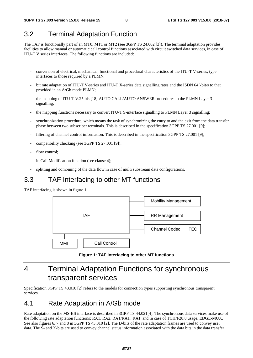### 3.2 Terminal Adaptation Function

The TAF is functionally part of an MT0, MT1 or MT2 (see 3GPP TS 24.002 [3]). The terminal adaptation provides facilities to allow manual or automatic call control functions associated with circuit switched data services, in case of ITU-T V series interfaces. The following functions are included:

- conversion of electrical, mechanical, functional and procedural characteristics of the ITU-T V-series, type interfaces to those required by a PLMN;
- bit rate adaptation of ITU-T V-series and ITU-T X-series data signalling rates and the ISDN 64 kbit/s to that provided in an A/Gb mode PLMN;
- the mapping of ITU-T V.25 bis [18] AUTO CALL/AUTO ANSWER procedures to the PLMN Layer 3 signalling;
- the mapping functions necessary to convert ITU-T S-interface signalling to PLMN Layer 3 signalling;
- synchronization procedure, which means the task of synchronizing the entry to and the exit from the data transfer phase between two subscriber terminals. This is described in the specification 3GPP TS 27.001 [9];
- filtering of channel control information. This is described in the specification 3GPP TS 27.001 [9];
- compatibility checking (see 3GPP TS 27.001 [9]);
- flow control:
- in Call Modification function (see clause 4);
- splitting and combining of the data flow in case of multi substream data configurations.

### 3.3 TAF Interfacing to other MT functions

TAF interfacing is shown in figure 1.



**Figure 1: TAF interfacing to other MT functions** 

### 4 Terminal Adaptation Functions for synchronous transparent services

Specification 3GPP TS 43.010 [2] refers to the models for connection types supporting synchronous transparent services.

### 4.1 Rate Adaptation in A/Gb mode

Rate adaptation on the MS-BS interface is described in 3GPP TS 44.021[4]. The synchronous data services make use of the following rate adaptation functions: RA1, RA2, RA1/RA1', RA1' and in case of TCH/F28.8 usage, EDGE-MUX. See also figures 6, 7 and 8 in 3GPP TS 43.010 [2]. The D-bits of the rate adaptation frames are used to convey user data. The S- and X-bits are used to convey channel status information associated with the data bits in the data transfer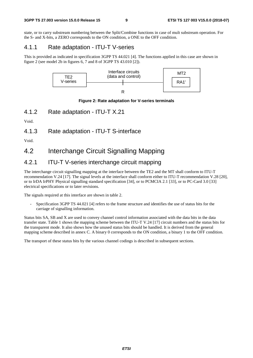state, or to carry substream numbering between the Split/Combine functions in case of mult substream operation. For the S- and X-bits, a ZERO corresponds to the ON condition, a ONE to the OFF condition.

#### 4.1.1 Rate adaptation - ITU-T V-series

This is provided as indicated in specification 3GPP TS 44.021 [4]. The functions applied in this case are shown in figure 2 (see model 2b in figures 6, 7 and 8 of 3GPP TS 43.010 [2]).



#### **Figure 2: Rate adaptation for V-series terminals**

4.1.2 Rate adaptation - ITU-T X.21

Void.

4.1.3 Rate adaptation - ITU-T S-interface

Void.

### 4.2 Interchange Circuit Signalling Mapping

### 4.2.1 ITU-T V-series interchange circuit mapping

The interchange circuit signalling mapping at the interface between the TE2 and the MT shall conform to ITU-T recommendation V.24 [17]. The signal levels at the interface shall conform either to ITU-T recommendation V.28 [20], or to IrDA IrPHY Physical signalling standard specification [34], or to PCMCIA 2.1 [33], or to PC-Card 3.0 [33] electrical specifications or to later revisions.

The signals required at this interface are shown in table 2.

Specification 3GPP TS 44.021 [4] refers to the frame structure and identifies the use of status bits for the carriage of signalling information.

Status bits SA, SB and X are used to convey channel control information associated with the data bits in the data transfer state. Table 1 shows the mapping scheme between the ITU-T V.24 [17] circuit numbers and the status bits for the transparent mode. It also shows how the unused status bits should be handled. It is derived from the general mapping scheme described in annex C. A binary 0 corresponds to the ON condition, a binary 1 to the OFF condition.

The transport of these status bits by the various channel codings is described in subsequent sections.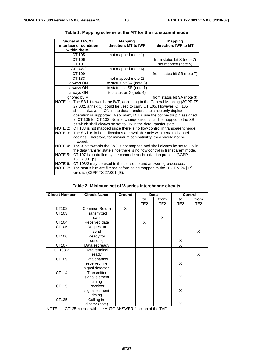|                                                                                                                                                                                                                                                                                                                                                                                                                                               | Signal at TE2/MT<br>interface or condition<br>within the MT                                                                                                                  | <b>Mapping</b><br>direction: MT to IWF                                   | <b>Mapping</b><br>direction: IWF to MT |  |  |  |
|-----------------------------------------------------------------------------------------------------------------------------------------------------------------------------------------------------------------------------------------------------------------------------------------------------------------------------------------------------------------------------------------------------------------------------------------------|------------------------------------------------------------------------------------------------------------------------------------------------------------------------------|--------------------------------------------------------------------------|----------------------------------------|--|--|--|
|                                                                                                                                                                                                                                                                                                                                                                                                                                               | CT 105                                                                                                                                                                       | not mapped (note 1)                                                      |                                        |  |  |  |
|                                                                                                                                                                                                                                                                                                                                                                                                                                               | CT 106                                                                                                                                                                       |                                                                          | from status bit X (note 7)             |  |  |  |
|                                                                                                                                                                                                                                                                                                                                                                                                                                               | CT 107                                                                                                                                                                       |                                                                          | not mapped (note 5)                    |  |  |  |
|                                                                                                                                                                                                                                                                                                                                                                                                                                               | CT 108/2                                                                                                                                                                     | not mapped (note 6)                                                      |                                        |  |  |  |
|                                                                                                                                                                                                                                                                                                                                                                                                                                               | CT 109                                                                                                                                                                       |                                                                          | from status bit SB (note 7)            |  |  |  |
|                                                                                                                                                                                                                                                                                                                                                                                                                                               | CT 133                                                                                                                                                                       | not mapped (note 2)                                                      |                                        |  |  |  |
|                                                                                                                                                                                                                                                                                                                                                                                                                                               | always ON                                                                                                                                                                    | to status bit SA (note 3)                                                |                                        |  |  |  |
|                                                                                                                                                                                                                                                                                                                                                                                                                                               | always ON                                                                                                                                                                    | to status bit SB (note 1)                                                |                                        |  |  |  |
|                                                                                                                                                                                                                                                                                                                                                                                                                                               | always ON                                                                                                                                                                    | to status bit X (note 4)                                                 |                                        |  |  |  |
|                                                                                                                                                                                                                                                                                                                                                                                                                                               | ignored by MT                                                                                                                                                                |                                                                          | from status bit SA (note 3)            |  |  |  |
| NOTE 1: The SB bit towards the IWF, according to the General Mapping (3GPP TS)<br>27.002, annex C), could be used to carry CT 105. However, CT 105<br>should always be ON in the data transfer state since only duplex<br>operation is supported. Also, many DTEs use the connector pin assigned<br>to CT 105 for CT 133. No interchange circuit shall be mapped to the SB<br>bit which shall always be set to ON in the data transfer state. |                                                                                                                                                                              |                                                                          |                                        |  |  |  |
| NOTE 2:                                                                                                                                                                                                                                                                                                                                                                                                                                       |                                                                                                                                                                              | CT 133 is not mapped since there is no flow control in transparent mode. |                                        |  |  |  |
| NOTE 3:                                                                                                                                                                                                                                                                                                                                                                                                                                       | The SA bits in both directions are available only with certain channel<br>codings. Therefore, for maximum compatibility, they should not be<br>mapped.                       |                                                                          |                                        |  |  |  |
| NOTE 4:                                                                                                                                                                                                                                                                                                                                                                                                                                       | The X bit towards the IWF is not mapped and shall always be set to ON in<br>the data transfer state since there is no flow control in transparent mode.                      |                                                                          |                                        |  |  |  |
| NOTE 5:                                                                                                                                                                                                                                                                                                                                                                                                                                       | CT 107 is controlled by the channel synchronization process (3GPP<br>TS 27.001 [9]).                                                                                         |                                                                          |                                        |  |  |  |
| NOTE 6:<br>NOTE 7:                                                                                                                                                                                                                                                                                                                                                                                                                            | CT 108/2 may be used in the call setup and answering processes.<br>The status bits are filtered before being mapped to the ITU-T V.24 [17]<br>circuits (3GPP TS 27.001 [9]). |                                                                          |                                        |  |  |  |

#### **Table 1: Mapping scheme at the MT for the transparent mode**

| Table 2: Minimum set of V-series interchange circuits |  |  |
|-------------------------------------------------------|--|--|
|-------------------------------------------------------|--|--|

| <b>Circuit Number</b>                                            | <b>Circuit Name</b>                     | Ground | Data                  |                         | <b>Control</b> |                         |  |
|------------------------------------------------------------------|-----------------------------------------|--------|-----------------------|-------------------------|----------------|-------------------------|--|
|                                                                  |                                         |        | to<br>TE <sub>2</sub> | from<br>TE <sub>2</sub> | to<br>TE2      | from<br>TE <sub>2</sub> |  |
| CT102                                                            | Common Return                           | X      |                       |                         |                |                         |  |
| CT103                                                            | Transmitted<br>data                     |        |                       | X                       |                |                         |  |
| CT104                                                            | Received data                           |        | X                     |                         |                |                         |  |
| CT105                                                            | Request to<br>send                      |        |                       |                         |                | X                       |  |
| CT106                                                            | Ready for<br>sending                    |        |                       |                         | X              |                         |  |
| CT107                                                            | Data set ready                          |        |                       |                         | X              |                         |  |
| CT108.2                                                          | Data terminal<br>ready                  |        |                       |                         |                | X                       |  |
| CT109<br>Data channel<br>received line<br>signal detector        |                                         |        |                       |                         | X              |                         |  |
| CT114                                                            | Transmitter<br>signal element<br>timing |        |                       |                         | X              |                         |  |
| CT115<br>Receiver<br>signal element<br>timing                    |                                         |        |                       |                         | X              |                         |  |
| CT125<br>Calling in-<br>dicator (note)                           |                                         |        |                       |                         | X              |                         |  |
| CT125 is used with the AUTO ANSWER function of the TAF.<br>NOTE: |                                         |        |                       |                         |                |                         |  |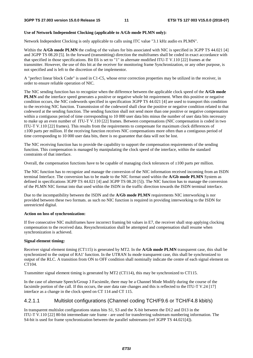#### **Use of Network Independent Clocking (applicable to A/Gb mode PLMN only):**

Network Independent Clocking is only applicable to calls using ITC value "3.1 kHz audio ex PLMN".

Within the **A/Gb mode PLMN** the coding of the values for bits associated with NIC is specified in 3GPP TS 44.021 [4] and 3GPP TS 08.20 [5]. In the forward (transmitting) direction the multiframes shall be coded in exact accordance with that specified in those specifications. Bit E6 is set to "1" in alternate modified ITU-T V.110 [22] frames at the transmitter. However, the use of this bit at the receiver for monitoring frame Synchronization, or any other purpose, is not specified and is left to the discretion of the implementor.

A "perfect linear block Code" is used in C1-C5, whose error correction properties may be utilized in the receiver, in order to ensure reliable operation of NIC.

The NIC sending function has to recognize when the difference between the applicable clock speed of the **A/Gb mode PLMN** and the interface speed generates a positive or negative whole bit requirement. When this positive or negative condition occurs, the NIC codewords specified in specification 3GPP TS 44.021 [4] are used to transport this condition to the receiving NIC function. Transmission of the codeword shall clear the positive or negative condition related to that codeword at the sending function. The sending function shall not send more than one positive or negative compensation within a contiguous period of time corresponding to 10 000 user data bits minus the number of user data bits necessary to make up an even number of ITU-T V.110 [22] frames. Between compensations (NIC compensation is coded in two ITU-T V.110 [22] frames). This results from the requirements to compensate for maximum clock differences of ±100 parts per million. If the receiving function receives NIC compensations more often than a contiguous period of time corresponding to 10 000 user data bits, there is no guarantee that data will not be lost.

The NIC receiving function has to provide the capability to support the compensation requirements of the sending function. This compensation is managed by manipulating the clock speed of the interface, within the standard constraints of that interface.

Overall, the compensation functions have to be capable of managing clock tolerances of  $\pm 100$  parts per million.

The NIC function has to recognize and manage the conversion of the NIC information received incoming from an ISDN terminal Interface. The conversion has to be made to the NIC format used within the **A/Gb mode PLMN** System as defined in specifications 3GPP TS 44.021 [4] and 3GPP TS 08.20 [5]). The NIC function has to manage the conversion of the PLMN NIC format into that used within the ISDN in the traffic direction towards the ISDN terminal interface.

Due to the incompatibility between the ISDN and the **A/Gb mode PLMN** requirements NIC interworking is nor provided between these two formats. as such no NIC function is required in providing interworking to the ISDN for unrestricted digital.

#### **Action on loss of synchronization:**

If five consecutive NIC multiframes have incorrect framing bit values in E7, the receiver shall stop applying clocking compensation to the received data. Resynchronization shall be attempted and compensation shall resume when synchronization is achieved.

#### **Signal element timing:**

Receiver signal element timing (CT115) is generated by MT2. In the **A/Gb mode PLMN** transparent case, this shall be synchronized to the output of RA1' function. In the UTRAN Iu mode transparent case, this shall be synchronized to output of the RLC. A transition from ON to OFF condition shall nominally indicate the centre of each signal element on CT104.

Transmitter signal element timing is generated by MT2 (CT114), this may be synchronized to CT115.

In the case of alternate Speech/Group 3 Facsimile, there may be a Channel Mode Modify during the course of the facsimile portion of the call. If this occurs, the user data rate changes and this is reflected to the ITU-T V.24 [17] interface as a change in the clock speed on CT 114 and CT 115.

#### 4.2.1.1 Multislot configurations (Channel coding TCH/F9.6 or TCH/F4.8 kbit/s)

In transparent multislot configurations status bits S1, S3 and the X-bit between the D12 and D13 in the ITU-T V.110 [22] 80-bit intermediate rate frame - are used for transferring substream numbering information. The S4-bit is used for frame synchronization between the parallel substreams (ref 3GPP TS 44.021[4]).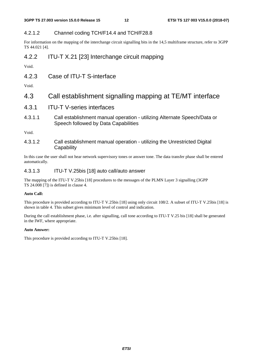### 4.2.1.2 Channel coding TCH/F14.4 and TCH/F28.8

For information on the mapping of the interchange circuit signalling bits in the 14,5 multiframe structure, refer to 3GPP TS 44.021 [4].

### 4.2.2 ITU-T X.21 [23] Interchange circuit mapping

Void.

4.2.3 Case of ITU-T S-interface

Void.

### 4.3 Call establishment signalling mapping at TE/MT interface

- 4.3.1 ITU-T V-series interfaces
- 4.3.1.1 Call establishment manual operation utilizing Alternate Speech/Data or Speech followed by Data Capabilities

Void.

4.3.1.2 Call establishment manual operation - utilizing the Unrestricted Digital **Capability** 

In this case the user shall not hear network supervisory tones or answer tone. The data transfer phase shall be entered automatically.

#### 4.3.1.3 ITU-T V.25bis [18] auto call/auto answer

The mapping of the ITU-T V.25bis [18] procedures to the messages of the PLMN Layer 3 signalling (3GPP TS 24.008 [7]) is defined in clause 4.

#### **Auto Call:**

This procedure is provided according to ITU-T V.25bis [18] using only circuit 108/2. A subset of ITU-T V.25bis [18] is shown in table 4. This subset gives minimum level of control and indication.

During the call establishment phase, i.e. after signalling, call tone according to ITU-T V.25 bis [18] shall be generated in the IWF, where appropriate.

#### **Auto Answer:**

This procedure is provided according to ITU-T V.25bis [18].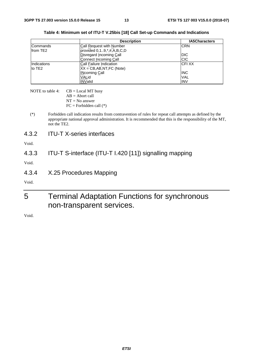|                      | <b>Description</b>                | <b>IA5Characters</b> |
|----------------------|-----------------------------------|----------------------|
| Commands             | Call Request with Number          | <b>CRN</b>           |
| from TE <sub>2</sub> | provided $0, 19, *,#, A, B, C, D$ |                      |
|                      | Disregard Incoming Call           | IDIC                 |
|                      | Connect Incoming Call             | <b>CIC</b>           |
| Indications          | Call Failure Indication           | <b>ICFIXX</b>        |
| to TE2               | $XX = CB, AB, NT, FC (Note)$      |                      |
|                      | <b>INcoming Call</b>              | <b>INC</b>           |
|                      | VALid                             | <b>VAL</b>           |
|                      | <b>INValid</b>                    | <b>INV</b>           |

**Table 4: Minimum set of ITU-T V.25bis [18] Call Set-up Commands and Indications** 

| NOTE to table 4: | $CB = Local MT$ busy      |
|------------------|---------------------------|
|                  | $AB =$ Abort call         |
|                  | $NT = No$ answer          |
|                  | $FC = Forbidden call (*)$ |

- (\*) Forbidden call indication results from contravention of rules for repeat call attempts as defined by the appropriate national approval administration. It is recommended that this is the responsibility of the MT, not the TE2.
- 4.3.2 ITU-T X-series interfaces

Void.

### 4.3.3 ITU-T S-interface (ITU-T I.420 [11]) signalling mapping

Void.

4.3.4 X.25 Procedures Mapping

Void.

### 5 Terminal Adaptation Functions for synchronous non-transparent services.

Void.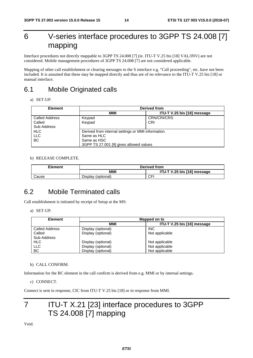### 6 V-series interface procedures to 3GPP TS 24.008 [7] mapping

Interface procedures not directly mappable to 3GPP TS 24.008 [7] (ie. ITU-T V.25 bis [18] VAL/INV) are not considered. Mobile management procedures of 3GPP TS 24.008 [7] are not considered applicable.

Mapping of other call establishment or clearing messages to the S interface e.g. "Call proceeding", etc. have not been included. It is assumed that these may be mapped directly and thus are of no relevance to the ITU-T V.25 bis [18] or manual interface.

### 6.1 Mobile Originated calls

a) SET-UP.

| <b>Element</b>        | Derived from                                       |                             |  |  |  |  |  |
|-----------------------|----------------------------------------------------|-----------------------------|--|--|--|--|--|
|                       | MMI                                                | ITU-T V.25 bis [18] message |  |  |  |  |  |
| <b>Called Address</b> | Keypad                                             | <b>CRN/CRI/CRS</b>          |  |  |  |  |  |
| Called                | Keypad                                             | CRI                         |  |  |  |  |  |
| <b>Sub Address</b>    |                                                    |                             |  |  |  |  |  |
| <b>HLC</b>            | Derived from internal settings or MMI information. |                             |  |  |  |  |  |
| <b>LLC</b>            | Same as HLC                                        |                             |  |  |  |  |  |
| <b>BC</b>             | Same as HSC                                        |                             |  |  |  |  |  |
|                       | 3GPP TS 27.001 [9] gives allowed values            |                             |  |  |  |  |  |

#### b) RELEASE COMPLETE.

| Element | Derived from       |                             |  |  |  |  |  |
|---------|--------------------|-----------------------------|--|--|--|--|--|
|         | MMI                | ITU-T V.25 bis [18] message |  |  |  |  |  |
| Cause   | Display (optional) | CFI                         |  |  |  |  |  |

### 6.2 Mobile Terminated calls

Call establishment is initiated by receipt of Setup at the MS:

a) SET-UP.

| <b>Element</b>        |                    | Mapped on to                |
|-----------------------|--------------------|-----------------------------|
|                       | <b>MMI</b>         | ITU-T V.25 bis [18] message |
| <b>Called Address</b> | Display (optional) | <b>INC</b>                  |
| Called                | Display (optional) | Not applicable              |
| Sub Address           |                    |                             |
| <b>HLC</b>            | Display (optional) | Not applicable              |
| <b>LLC</b>            | Display (optional) | Not applicable              |
| <b>BC</b>             | Display (optional) | Not applicable              |

#### b) CALL CONFIRM.

Information for the BC element in the call confirm is derived from e.g. MMI or by internal settings.

```
c) CONNECT.
```
Connect is sent in response, CIC from ITU-T V.25 bis [18] or in response from MMI.

### 7 ITU-T X.21 [23] interface procedures to 3GPP TS 24.008 [7] mapping

Void.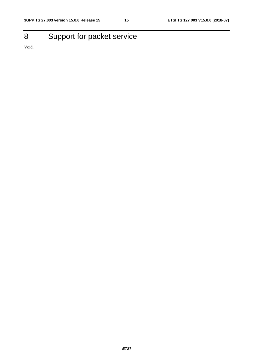## 8 Support for packet service

Void.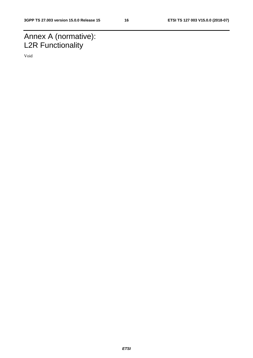### Annex A (normative): L2R Functionality

Void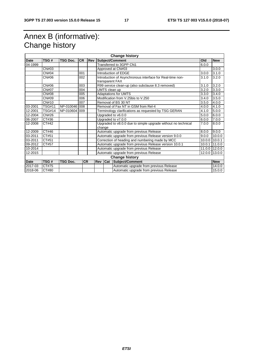### Annex B (informative): Change history

| <b>Change history</b> |               |                 |           |            |         |                                                                                  |                                                           |        |            |
|-----------------------|---------------|-----------------|-----------|------------|---------|----------------------------------------------------------------------------------|-----------------------------------------------------------|--------|------------|
| <b>Date</b>           | TSG#          | <b>TSG Doc.</b> | <b>CR</b> | <b>Rev</b> |         |                                                                                  | Subject/Comment                                           | Old    | <b>New</b> |
| 04-1999               |               |                 |           |            |         | Transferred to 3GPP CN1<br>6.0.0                                                 |                                                           |        |            |
|                       | CN#03         |                 |           |            |         | Approved at CN#03                                                                |                                                           | 3.0.0  |            |
|                       | <b>CN#04</b>  |                 | 001       |            |         |                                                                                  | Introduction of EDGE                                      | 3.0.0  | 3.1.0      |
|                       | CN#06         |                 | 002       |            |         | transparent FAX                                                                  | Introduction of Asynchronous interface for Real-time non- | 3.1.0  | 3.2.0      |
|                       | CN#06         |                 | 003       |            |         |                                                                                  | R99 service clean-up (also subclause 8.3 removed)         | 3.1.0  | 3.2.0      |
|                       | <b>CN#07</b>  |                 | 004       |            |         | UMTS clean up                                                                    |                                                           | 3.2.0  | 3.3.0      |
|                       | CN#08         |                 | 005       |            |         |                                                                                  | <b>Adaptations for UMTS</b>                               | 3.3.0  | 3.4.0      |
|                       | CN#09         |                 | 006       |            |         |                                                                                  | Modification from V.25bis to V.250                        | 3.4.0  | 3.5.0      |
|                       | CN#10         |                 | 007       |            |         |                                                                                  | Removal of BS 30 NT                                       | 3.5.0  | 4.0.0      |
| 03-2001               | <b>TSG#11</b> | NP-010046 008   |           |            |         |                                                                                  | Removal of Fax NT in GSM from Rel-4                       | 4.0.0  | 4.1.0      |
| 12-2001               | <b>TSG#14</b> | NP-010604       | 009       |            |         |                                                                                  | Terminology clarifications as requested by TSG GERAN      | 4.1.0  | 5.0.0      |
| 12-2004               | CN#26         |                 |           |            |         | Upgraded to v6.0.0<br>5.0.0                                                      |                                                           |        | 6.0.0      |
| 06-2007               | CT#36         |                 |           |            |         | Upgraded to v7.0.0<br>6.0.0                                                      |                                                           |        | 7.0.0      |
| 12-2008               | CT#42         |                 |           |            |         | Upgraded to v8.0.0 due to simple upgrade without no technical<br>7.0.0<br>change |                                                           |        | 8.0.0      |
| 12-2009               | CT#46         |                 |           |            |         |                                                                                  | Automatic upgrade from previous Release                   | 8.0.0  | 9.0.0      |
| 03-2011               | CT#51         |                 |           |            |         |                                                                                  | Automatic upgrade from previous Release version 9.0.0     | 9.0.0  | 10.0.0     |
| 03-2011               | CT#51         |                 |           |            |         |                                                                                  | Correction of heading and numbering made by MCC           | 10.0.0 | 10.0.1     |
| 09-2012               | CT#57         |                 |           |            |         |                                                                                  | Automatic upgrade from previous Release version 10.0.1    | 10.0.1 | 11.0.0     |
| 10-2014               |               |                 |           |            |         | Automatic upgrade from previous Release<br>11.0.0                                |                                                           |        | 12.0.0     |
| 12-2015               |               |                 |           |            |         |                                                                                  | Automatic upgrade from previous Release                   | 12.0.0 | 13.0.0     |
|                       |               |                 |           |            |         |                                                                                  | <b>Change history</b>                                     |        |            |
| Date                  | TSG#          | <b>TSG Doc.</b> | <b>CR</b> |            | Rev Cat |                                                                                  | Subject/Comment                                           |        | <b>New</b> |
| 2017-03               | CT#75         |                 |           |            |         |                                                                                  | Automatic upgrade from previous Release                   |        | 14.0.0     |
| 2018-06               | CT#80         |                 |           |            |         |                                                                                  | Automatic upgrade from previous Release                   |        | 15.0.0     |